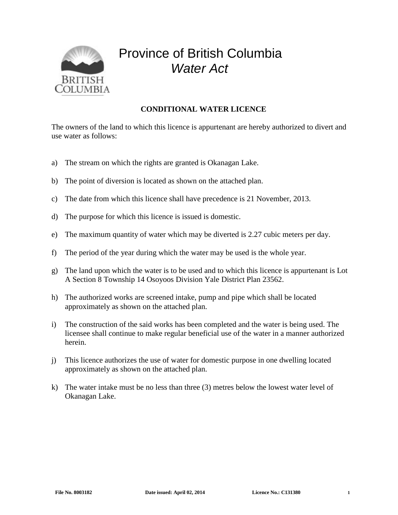

## Province of British Columbia *Water Act*

## **CONDITIONAL WATER LICENCE**

The owners of the land to which this licence is appurtenant are hereby authorized to divert and use water as follows:

- a) The stream on which the rights are granted is Okanagan Lake.
- b) The point of diversion is located as shown on the attached plan.
- c) The date from which this licence shall have precedence is 21 November, 2013.
- d) The purpose for which this licence is issued is domestic.
- e) The maximum quantity of water which may be diverted is 2.27 cubic meters per day.
- f) The period of the year during which the water may be used is the whole year.
- g) The land upon which the water is to be used and to which this licence is appurtenant is Lot A Section 8 Township 14 Osoyoos Division Yale District Plan 23562.
- h) The authorized works are screened intake, pump and pipe which shall be located approximately as shown on the attached plan.
- i) The construction of the said works has been completed and the water is being used. The licensee shall continue to make regular beneficial use of the water in a manner authorized herein.
- j) This licence authorizes the use of water for domestic purpose in one dwelling located approximately as shown on the attached plan.
- k) The water intake must be no less than three (3) metres below the lowest water level of Okanagan Lake.